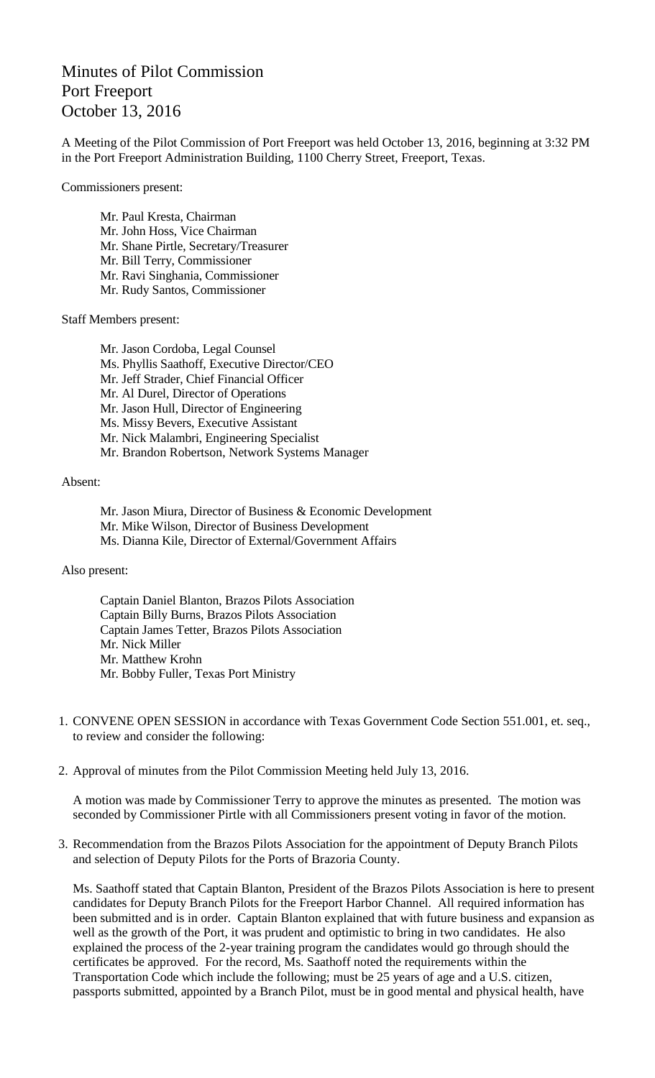## Minutes of Pilot Commission Port Freeport October 13, 2016

A Meeting of the Pilot Commission of Port Freeport was held October 13, 2016, beginning at 3:32 PM in the Port Freeport Administration Building, 1100 Cherry Street, Freeport, Texas.

Commissioners present:

Mr. Paul Kresta, Chairman Mr. John Hoss, Vice Chairman Mr. Shane Pirtle, Secretary/Treasurer Mr. Bill Terry, Commissioner Mr. Ravi Singhania, Commissioner Mr. Rudy Santos, Commissioner

Staff Members present:

Mr. Jason Cordoba, Legal Counsel Ms. Phyllis Saathoff, Executive Director/CEO Mr. Jeff Strader, Chief Financial Officer Mr. Al Durel, Director of Operations Mr. Jason Hull, Director of Engineering Ms. Missy Bevers, Executive Assistant Mr. Nick Malambri, Engineering Specialist Mr. Brandon Robertson, Network Systems Manager

## Absent:

Mr. Jason Miura, Director of Business & Economic Development Mr. Mike Wilson, Director of Business Development Ms. Dianna Kile, Director of External/Government Affairs

## Also present:

Captain Daniel Blanton, Brazos Pilots Association Captain Billy Burns, Brazos Pilots Association Captain James Tetter, Brazos Pilots Association Mr. Nick Miller Mr. Matthew Krohn Mr. Bobby Fuller, Texas Port Ministry

- 1. CONVENE OPEN SESSION in accordance with Texas Government Code Section 551.001, et. seq., to review and consider the following:
- 2. Approval of minutes from the Pilot Commission Meeting held July 13, 2016.

A motion was made by Commissioner Terry to approve the minutes as presented. The motion was seconded by Commissioner Pirtle with all Commissioners present voting in favor of the motion.

3. Recommendation from the Brazos Pilots Association for the appointment of Deputy Branch Pilots and selection of Deputy Pilots for the Ports of Brazoria County.

Ms. Saathoff stated that Captain Blanton, President of the Brazos Pilots Association is here to present candidates for Deputy Branch Pilots for the Freeport Harbor Channel. All required information has been submitted and is in order. Captain Blanton explained that with future business and expansion as well as the growth of the Port, it was prudent and optimistic to bring in two candidates. He also explained the process of the 2-year training program the candidates would go through should the certificates be approved. For the record, Ms. Saathoff noted the requirements within the Transportation Code which include the following; must be 25 years of age and a U.S. citizen, passports submitted, appointed by a Branch Pilot, must be in good mental and physical health, have